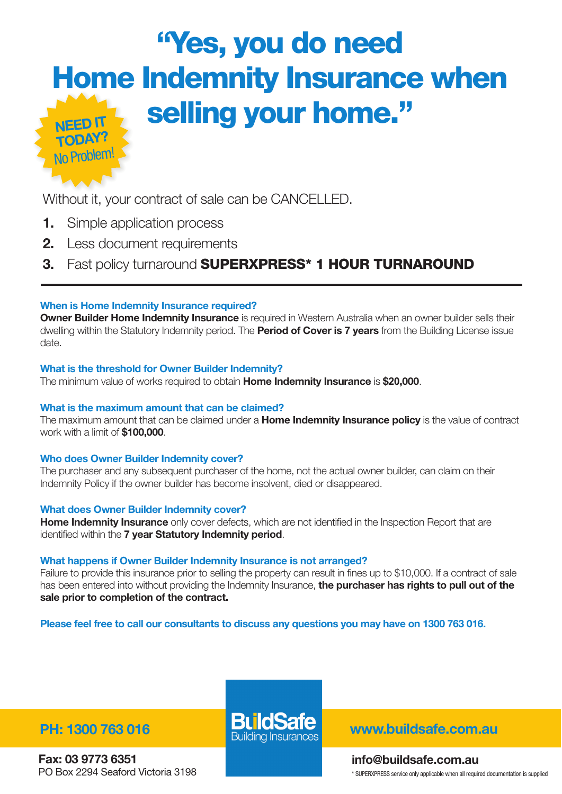## "Yes, you do need Home Indemnity Insurance when selling your home." Need it today?

Without it, your contract of sale can be CANCELLED.

**1.** Simple application process

Jo Problet

- 2. Less document requirements
- 3. Fast policy turnaround SUPERXPRESS\* 1 HOUR TURNAROUND

#### When is Home Indemnity Insurance required?

**Owner Builder Home Indemnity Insurance** is required in Western Australia when an owner builder sells their dwelling within the Statutory Indemnity period. The **Period of Cover is 7 years** from the Building License issue date.

#### What is the threshold for Owner Builder Indemnity?

The minimum value of works required to obtain Home Indemnity Insurance is \$**20**,000.

#### What is the maximum amount that can be claimed?

The maximum amount that can be claimed under a **Home Indemnity Insurance policy** is the value of contract work with a limit of \$100,000.

#### Who does Owner Builder Indemnity cover?

The purchaser and any subsequent purchaser of the home, not the actual owner builder, can claim on their Indemnity Policy if the owner builder has become insolvent, died or disappeared.

#### What does Owner Builder Indemnity cover?

**Home Indemnity Insurance** only cover defects, which are not identified in the Inspection Report that are identified within the 7 year Statutory Indemnity period.

#### What happens if Owner Builder Indemnity Insurance is not arranged?

Failure to provide this insurance prior to selling the property can result in fines up to \$10,000. If a contract of sale has been entered into without providing the Indemnity Insurance, the purchaser has rights to pull out of the sale prior to completion of the contract.

Please feel free to call our consultants to discuss any questions you may have on 1300 763 016.

Fax: 03 9773 6351 PO Box 2294 Seaford Victoria 3198

PH: 1300 763 016 **DU IODEIE** www.buildsafe.com.au

info@buildsafe.com.au \* SUPERXPRESS service only applicable when all required documentation is supplied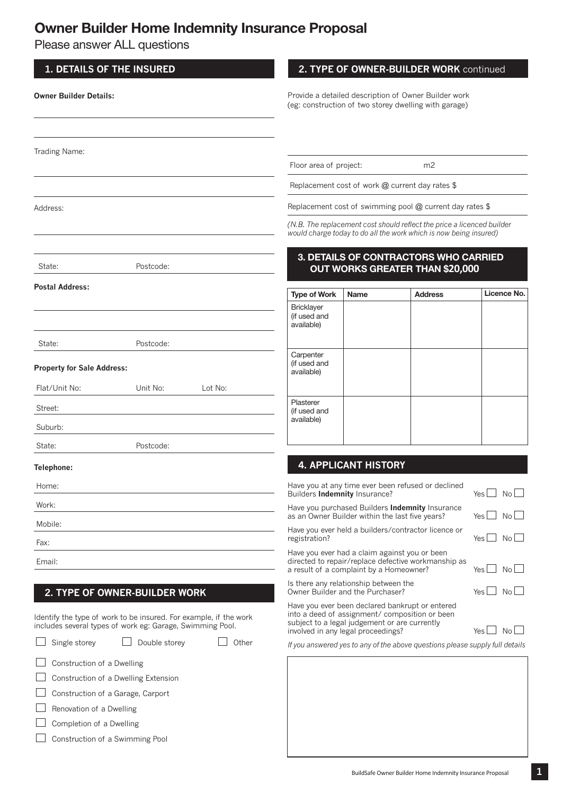## Owner Builder Home Indemnity Insurance Proposal

Please answer ALL questions

 $\Box$  Completion of a Dwelling

Construction of a Swimming Pool

| <b>1. DETAILS OF THE INSURED</b>  |                                                                                                                                                                |                                                          |                                                                                                               |                             | 2. TYPE OF OWNER-BUILDER WORK continued                                                                                                     |               |  |  |  |
|-----------------------------------|----------------------------------------------------------------------------------------------------------------------------------------------------------------|----------------------------------------------------------|---------------------------------------------------------------------------------------------------------------|-----------------------------|---------------------------------------------------------------------------------------------------------------------------------------------|---------------|--|--|--|
| <b>Owner Builder Details:</b>     |                                                                                                                                                                |                                                          | Provide a detailed description of Owner Builder work<br>(eg: construction of two storey dwelling with garage) |                             |                                                                                                                                             |               |  |  |  |
| Trading Name:                     |                                                                                                                                                                |                                                          |                                                                                                               |                             |                                                                                                                                             |               |  |  |  |
|                                   |                                                                                                                                                                |                                                          | Floor area of project:                                                                                        |                             | m <sub>2</sub>                                                                                                                              |               |  |  |  |
|                                   |                                                                                                                                                                |                                                          |                                                                                                               |                             | Replacement cost of work @ current day rates \$                                                                                             |               |  |  |  |
| Address:                          |                                                                                                                                                                | Replacement cost of swimming pool @ current day rates \$ |                                                                                                               |                             |                                                                                                                                             |               |  |  |  |
|                                   |                                                                                                                                                                |                                                          |                                                                                                               |                             | (N.B. The replacement cost should reflect the price a licenced builder<br>would charge today to do all the work which is now being insured) |               |  |  |  |
| State:                            | Postcode:                                                                                                                                                      |                                                          |                                                                                                               |                             | 3. DETAILS OF CONTRACTORS WHO CARRIED<br>OUT WORKS GREATER THAN \$20,000                                                                    |               |  |  |  |
| <b>Postal Address:</b>            |                                                                                                                                                                |                                                          | <b>Type of Work</b>                                                                                           | <b>Name</b>                 | <b>Address</b>                                                                                                                              | Licence No.   |  |  |  |
|                                   |                                                                                                                                                                |                                                          | <b>Bricklayer</b><br>(if used and<br>available)                                                               |                             |                                                                                                                                             |               |  |  |  |
| State:                            | Postcode:                                                                                                                                                      |                                                          |                                                                                                               |                             |                                                                                                                                             |               |  |  |  |
| <b>Property for Sale Address:</b> |                                                                                                                                                                |                                                          | Carpenter<br>(if used and<br>available)                                                                       |                             |                                                                                                                                             |               |  |  |  |
| Flat/Unit No:                     | Unit No:                                                                                                                                                       | Lot No:                                                  |                                                                                                               |                             |                                                                                                                                             |               |  |  |  |
| Street:                           |                                                                                                                                                                |                                                          | Plasterer<br>(if used and                                                                                     |                             |                                                                                                                                             |               |  |  |  |
| Suburb:                           |                                                                                                                                                                |                                                          | available)                                                                                                    |                             |                                                                                                                                             |               |  |  |  |
| State:                            | Postcode:                                                                                                                                                      |                                                          |                                                                                                               |                             |                                                                                                                                             |               |  |  |  |
| Telephone:                        |                                                                                                                                                                |                                                          |                                                                                                               | <b>4. APPLICANT HISTORY</b> |                                                                                                                                             |               |  |  |  |
| Home:                             |                                                                                                                                                                |                                                          | Builders Indemnity Insurance?                                                                                 |                             | Have you at any time ever been refused or declined                                                                                          | Yes<br>No l   |  |  |  |
| Work:                             |                                                                                                                                                                |                                                          |                                                                                                               |                             | Have you purchased Builders Indemnity Insurance                                                                                             |               |  |  |  |
| Mobile:                           |                                                                                                                                                                |                                                          |                                                                                                               |                             | as an Owner Builder within the last five years?<br>Have you ever held a builders/contractor licence or                                      | No l<br>Yes I |  |  |  |
| Fax:                              |                                                                                                                                                                |                                                          | registration?                                                                                                 |                             |                                                                                                                                             | Yes L<br>No l |  |  |  |
| Email:                            | Have you ever had a claim against you or been<br>directed to repair/replace defective workmanship as<br>a result of a complaint by a Homeowner?<br>No l<br>Yes |                                                          |                                                                                                               |                             |                                                                                                                                             |               |  |  |  |
| 2. TYPE OF OWNER-BUILDER WORK     | Is there any relationship between the<br>Owner Builder and the Purchaser?                                                                                      | Yes I<br>No l                                            |                                                                                                               |                             |                                                                                                                                             |               |  |  |  |
|                                   | Identify the type of work to be insured. For example, if the work<br>includes several types of work eg: Garage, Swimming Pool.                                 |                                                          | subject to a legal judgement or are currently<br>involved in any legal proceedings?                           |                             | Have you ever been declared bankrupt or entered<br>into a deed of assignment/ composition or been                                           | No l<br>Yes   |  |  |  |
| Single storey                     | Double storey                                                                                                                                                  | Other                                                    |                                                                                                               |                             | If you answered yes to any of the above questions please supply full details                                                                |               |  |  |  |
| Construction of a Dwelling        |                                                                                                                                                                |                                                          |                                                                                                               |                             |                                                                                                                                             |               |  |  |  |
|                                   | Construction of a Dwelling Extension                                                                                                                           |                                                          |                                                                                                               |                             |                                                                                                                                             |               |  |  |  |
| Construction of a Garage, Carport |                                                                                                                                                                |                                                          |                                                                                                               |                             |                                                                                                                                             |               |  |  |  |
| Renovation of a Dwelling          |                                                                                                                                                                |                                                          |                                                                                                               |                             |                                                                                                                                             |               |  |  |  |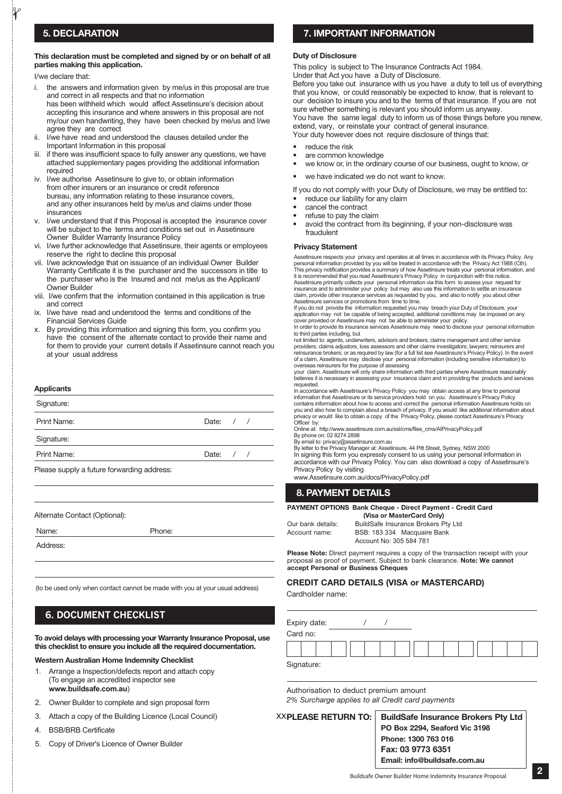#### This declaration must be completed and signed by or on behalf of all parties making this application.

I/we declare that:

 $\gamma$ 

- i. the answers and information given by me/us in this proposal are true and correct in all respects and that no information has been withheld which would affect Assetinsure's decision about accepting this insurance and where answers in this proposal are not my/our own handwriting, they have been checked by me/us and I/we agree they are correct
- ii. I/we have read and understood the clauses detailed under the Important Information in this proposal
- iii. if there was insufficient space to fully answer any questions, we have attached supplementary pages providing the additional information required
- I/we authorise Assetinsure to give to, or obtain information from other insurers or an insurance or credit reference bureau, any information relating to these insurance covers, and any other insurances held by me/us and claims under those insurances
- v. I/we understand that if this Proposal is accepted the insurance cover will be subject to the terms and conditions set out in Assetinsure Owner Builder Warranty Insurance Policy
- vi. I/we further acknowledge that Assetinsure, their agents or employees reserve the right to decline this proposal
- vii. I/we acknowledge that on issuance of an individual Owner Builder Warranty Certificate it is the purchaser and the successors in title to the purchaser who is the Insured and not me/us as the Applicant/ Owner Builder
- viii. I/we confirm that the information contained in this application is true and correct
- ix. I/we have read and understood the terms and conditions of the Financial Services Guide
- x. By providing this information and signing this form, you confirm you have the consent of the alternate contact to provide their name and for them to provide your current details if Assetinsure cannot reach you at your usual address

#### **Applicants**

| Signature:                                |             |  |  |
|-------------------------------------------|-------------|--|--|
| Print Name:                               | Date: $/$ / |  |  |
| Signature:                                |             |  |  |
| Print Name:                               | Date: $/$ / |  |  |
| Dlogge aupply of thus forwarding address: |             |  |  |

Please supply a future forwarding address:

Alternate Contact (Optional):

Address:

(to be used only when contact cannot be made with you at your usual address)

#### **6. Document checklist**

To avoid delays with processing your Warranty Insurance Proposal, use this checklist to ensure you include all the required documentation.

#### Western Australian Home Indemnity Checklist

- 1. Arrange a Inspection/defects report and attach copy (To engage an accredited inspector see **www.buildsafe.com.au**)
- 2. Owner Builder to complete and sign proposal form
- 3. Attach a copy of the Building Licence (Local Council)
- 4. BSB/BRB Certificate
- 5. Copy of Driver's Licence of Owner Builder

#### 5. Declaration 7. IMPORTANT INFORMATION

#### Duty of Disclosure

This policy is subject to The Insurance Contracts Act 1984.

Under that Act you have a Duty of Disclosure.

Before you take out insurance with us you have a duty to tell us of everything that you know, or could reasonably be expected to know, that is relevant to our decision to insure you and to the terms of that insurance. If you are not sure whether something is relevant you should inform us anyway. You have the same legal duty to inform us of those things before you renew, extend, vary, or reinstate your contract of general insurance.

Your duty however does not require disclosure of things that:

- reduce the risk
- are common knowledge
- we know or, in the ordinary course of our business, ought to know, or
- we have indicated we do not want to know.

If you do not comply with your Duty of Disclosure, we may be entitled to:

- reduce our liability for any claim
- cancel the contract
- refuse to pay the claim
- avoid the contract from its beginning, if your non-disclosure was fraudulent

#### Privacy Statement

Assetinsure respects your privacy and operates at all times in accordance with its Privacy Policy. Any personal information provided by you will be treated in accordance with the Privacy Act 1988 (Cth). This privacy notification provides a summary of how Assetinsure treats your personal information, and it is recommended that you read Assetinsure's Privacy Policy in conjunction with this notice. Assetinsure primarily collects your personal information via this form to assess your request for insurance and to administer your policy but may also use this information to settle an insurance claim, provide other insurance services as requested by you, and also to notify you about other Assetinsure services or promotions from time to time.

If you do not provide the information requested you may breach your Duty of Disclosure, your<br>application may not be capable of being accepted, additional conditions may be imposed on any<br>cover provided or Assetinsure

In order to provide its insurance services Assetinsure may need to disclose your personal information to third parties including, but

not limited to: agents, underwriters, advisors and brokers; claims management and other service providers; claims adjustors, loss assessors and other claims investigators; lawyers; reinsurers and reinsurance brokers; or as required by law (for a full list see Assetinsure's Privacy Policy). In the event<br>of a claim, Assetinsure may disclose your personal information (including sensitive information) to of a claim, Assetinsure may disclose your personal information (including sensitive information) to overseas reinsurers for the purpose of assessing

your claim. Assetinsure will only share information with third parties where Assetinsure reasonably believes it is necessary in assessing your insurance claim and in providing the products and services requested.

In accordance with Assetinsure's Privacy Policy you may obtain access at any time to personal information that Assetinsure or its service providers hold on you. Assetinsure's Privacy Policy contains information about how to access and correct the personal information Assetinsure holds on you and also how to complain about a breach of privacy. If you would like additional information about privacy or would like to obtain a copy of the Privacy Policy, please contact Assetinsure's Privacy<br>Officer by:

Officer by: Online at: http://www.assetinsure.com.au/ssl/cms/files\_cms/AIPrivacyPolicy.pdf

By phone on: 02 8274 2898 By email to: privacy@assetinsure.com.au

By letter to the Privacy Manager at: Assetinsure, 44 Pitt Street, Sydney, NSW 2000 In signing this form you expressly consent to us using your personal information in accordance with our Privacy Policy. You can also download a copy of Assetinsure's Privacy Policy by visiting

www.Assetinsure.com.au/docs/PrivacyPolicy.pdf

#### 8. PAYMENT DETAILS

PAyMENT OPTIONS Bank Cheque - Direct Payment - Credit Card

|               | (Visa or MasterCard Only)           |  |  |  |  |  |  |  |  |
|---------------|-------------------------------------|--|--|--|--|--|--|--|--|
| bank details: | BuildSafe Insurance Brokers Pty Ltd |  |  |  |  |  |  |  |  |
| ount name:    | BSB: 183 334 Macquaire Bank         |  |  |  |  |  |  |  |  |
|               | Account No: 305 584 781             |  |  |  |  |  |  |  |  |
|               |                                     |  |  |  |  |  |  |  |  |

Please Note: Direct payment requires a copy of the transaction receipt with your proposal as proof of payment. Subject to bank clearance. Note: We cannot accept Personal or Business Cheques

#### Credit Card Details (Visa or Mastercard)

Cardholder name:

 $O<sub>U</sub>$ Acco

| Expiry date: |  |  |  |  |  |  |  |
|--------------|--|--|--|--|--|--|--|
| Card no:     |  |  |  |  |  |  |  |
|              |  |  |  |  |  |  |  |
| Signature:   |  |  |  |  |  |  |  |

Authorisation to deduct premium amount *2% Surcharge applies to all Credit card payments*

**XXPLEASE RETURN TO:** 

**BuildSafe Insurance Brokers Pty Ltd** PO Box 2294, Seaford Vic 3198 Phone: 1300 763 016 Fax: 03 9773 6351 Email: info@buildsafe.com.au

Name: Phone: